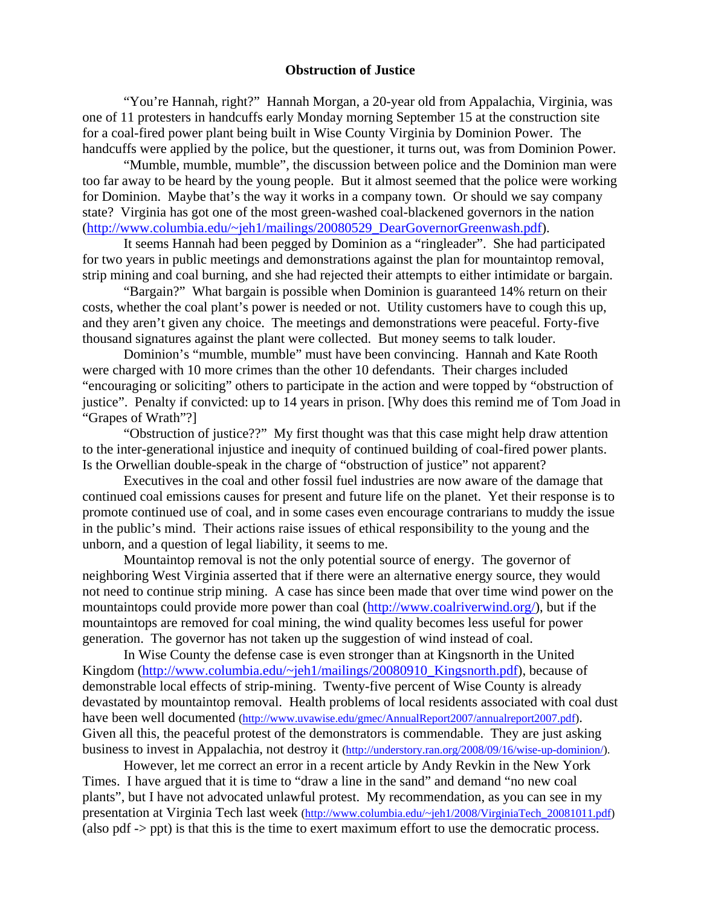# **Obstruction of Justice**

 "You're Hannah, right?" Hannah Morgan, a 20-year old from Appalachia, Virginia, was one of 11 protesters in handcuffs early Monday morning September 15 at the construction site for a coal-fired power plant being built in Wise County Virginia by Dominion Power. The handcuffs were applied by the police, but the questioner, it turns out, was from Dominion Power.

 "Mumble, mumble, mumble", the discussion between police and the Dominion man were too far away to be heard by the young people. But it almost seemed that the police were working for Dominion. Maybe that's the way it works in a company town. Or should we say company state? Virginia has got one of the most green-washed coal-blackened governors in the nation ([http://www.columbia.edu/~jeh1/mailings/20080529\\_DearGovernorGreenwash.pdf](http://www.columbia.edu/%7Ejeh1/mailings/20080529_DearGovernorGreenwash.pdf)).

It seems Hannah had been pegged by Dominion as a "ringleader". She had participated for two years in public meetings and demonstrations against the plan for mountaintop removal, strip mining and coal burning, and she had rejected their attempts to either intimidate or bargain.

"Bargain?" What bargain is possible when Dominion is guaranteed 14% return on their costs, whether the coal plant's power is needed or not. Utility customers have to cough this up, and they aren't given any choice. The meetings and demonstrations were peaceful. Forty-five thousand signatures against the plant were collected. But money seems to talk louder.

Dominion's "mumble, mumble" must have been convincing. Hannah and Kate Rooth were charged with 10 more crimes than the other 10 defendants. Their charges included "encouraging or soliciting" others to participate in the action and were topped by "obstruction of justice". Penalty if convicted: up to 14 years in prison. [Why does this remind me of Tom Joad in "Grapes of Wrath"?]

"Obstruction of justice??" My first thought was that this case might help draw attention to the inter-generational injustice and inequity of continued building of coal-fired power plants. Is the Orwellian double-speak in the charge of "obstruction of justice" not apparent?

Executives in the coal and other fossil fuel industries are now aware of the damage that continued coal emissions causes for present and future life on the planet. Yet their response is to promote continued use of coal, and in some cases even encourage contrarians to muddy the issue in the public's mind. Their actions raise issues of ethical responsibility to the young and the unborn, and a question of legal liability, it seems to me.

Mountaintop removal is not the only potential source of energy. The governor of neighboring West Virginia asserted that if there were an alternative energy source, they would not need to continue strip mining. A case has since been made that over time wind power on the mountaintops could provide more power than coal [\(http://www.coalriverwind.org/\)](http://www.coalriverwind.org/), but if the mountaintops are removed for coal mining, the wind quality becomes less useful for power generation. The governor has not taken up the suggestion of wind instead of coal.

In Wise County the defense case is even stronger than at Kingsnorth in the United Kingdom [\(http://www.columbia.edu/~jeh1/mailings/20080910\\_Kingsnorth.pdf\)](http://www.columbia.edu/%7Ejeh1/mailings/20080910_Kingsnorth.pdf), because of demonstrable local effects of strip-mining. Twenty-five percent of Wise County is already devastated by mountaintop removal. Health problems of local residents associated with coal dust have been well documented ([http://www.uvawise.edu/gmec/AnnualReport2007/annualreport2007.pdf\)](http://www.uvawise.edu/gmec/AnnualReport2007/annualreport2007.pdf). Given all this, the peaceful protest of the demonstrators is commendable. They are just asking business to invest in Appalachia, not destroy it [\(http://understory.ran.org/2008/09/16/wise-up-dominion/](http://understory.ran.org/2008/09/16/wise-up-dominion/)).

However, let me correct an error in a recent article by Andy Revkin in the New York Times. I have argued that it is time to "draw a line in the sand" and demand "no new coal plants", but I have not advocated unlawful protest. My recommendation, as you can see in my presentation at Virginia Tech last week ([http://www.columbia.edu/~jeh1/2008/VirginiaTech\\_20081011.pdf\)](http://www.columbia.edu/%7Ejeh1/2008/VirginiaTech_20081011.pdf) (also pdf -> ppt) is that this is the time to exert maximum effort to use the democratic process.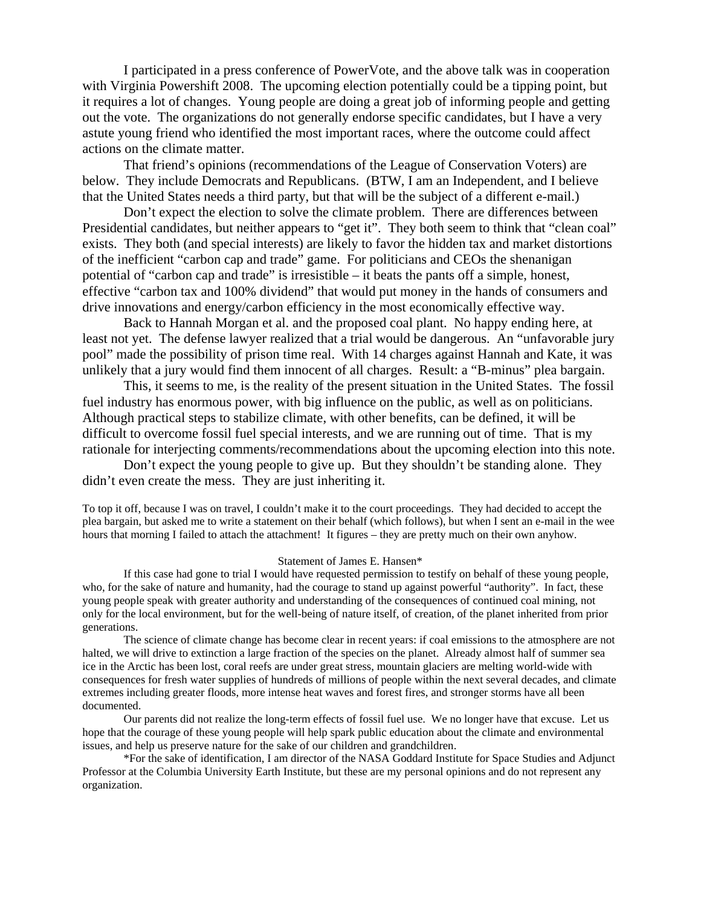I participated in a press conference of PowerVote, and the above talk was in cooperation with Virginia Powershift 2008. The upcoming election potentially could be a tipping point, but it requires a lot of changes. Young people are doing a great job of informing people and getting out the vote. The organizations do not generally endorse specific candidates, but I have a very astute young friend who identified the most important races, where the outcome could affect actions on the climate matter.

That friend's opinions (recommendations of the League of Conservation Voters) are below. They include Democrats and Republicans. (BTW, I am an Independent, and I believe that the United States needs a third party, but that will be the subject of a different e-mail.)

Don't expect the election to solve the climate problem. There are differences between Presidential candidates, but neither appears to "get it". They both seem to think that "clean coal" exists. They both (and special interests) are likely to favor the hidden tax and market distortions of the inefficient "carbon cap and trade" game. For politicians and CEOs the shenanigan potential of "carbon cap and trade" is irresistible – it beats the pants off a simple, honest, effective "carbon tax and 100% dividend" that would put money in the hands of consumers and drive innovations and energy/carbon efficiency in the most economically effective way.

Back to Hannah Morgan et al. and the proposed coal plant. No happy ending here, at least not yet. The defense lawyer realized that a trial would be dangerous. An "unfavorable jury pool" made the possibility of prison time real. With 14 charges against Hannah and Kate, it was unlikely that a jury would find them innocent of all charges. Result: a "B-minus" plea bargain.

This, it seems to me, is the reality of the present situation in the United States. The fossil fuel industry has enormous power, with big influence on the public, as well as on politicians. Although practical steps to stabilize climate, with other benefits, can be defined, it will be difficult to overcome fossil fuel special interests, and we are running out of time. That is my rationale for interjecting comments/recommendations about the upcoming election into this note.

Don't expect the young people to give up. But they shouldn't be standing alone. They didn't even create the mess. They are just inheriting it.

To top it off, because I was on travel, I couldn't make it to the court proceedings. They had decided to accept the plea bargain, but asked me to write a statement on their behalf (which follows), but when I sent an e-mail in the wee hours that morning I failed to attach the attachment! It figures – they are pretty much on their own anyhow.

#### Statement of James E. Hansen\*

 If this case had gone to trial I would have requested permission to testify on behalf of these young people, who, for the sake of nature and humanity, had the courage to stand up against powerful "authority". In fact, these young people speak with greater authority and understanding of the consequences of continued coal mining, not only for the local environment, but for the well-being of nature itself, of creation, of the planet inherited from prior generations.

 The science of climate change has become clear in recent years: if coal emissions to the atmosphere are not halted, we will drive to extinction a large fraction of the species on the planet. Already almost half of summer sea ice in the Arctic has been lost, coral reefs are under great stress, mountain glaciers are melting world-wide with consequences for fresh water supplies of hundreds of millions of people within the next several decades, and climate extremes including greater floods, more intense heat waves and forest fires, and stronger storms have all been documented.

 Our parents did not realize the long-term effects of fossil fuel use. We no longer have that excuse. Let us hope that the courage of these young people will help spark public education about the climate and environmental issues, and help us preserve nature for the sake of our children and grandchildren.

\*For the sake of identification, I am director of the NASA Goddard Institute for Space Studies and Adjunct Professor at the Columbia University Earth Institute, but these are my personal opinions and do not represent any organization.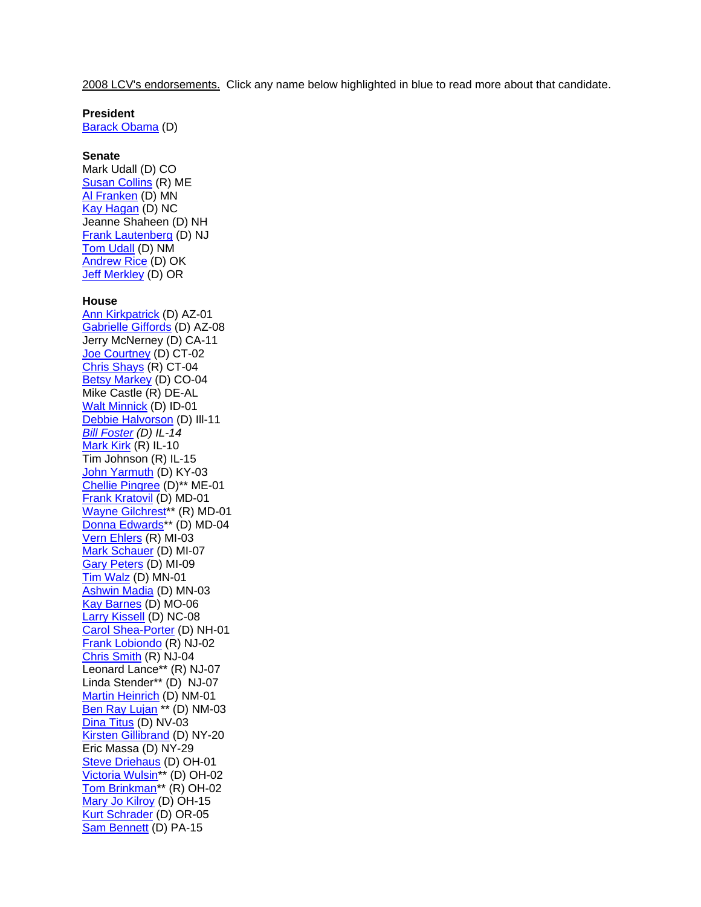2008 LCV's endorsements. Click any name below highlighted in blue to read more about that candidate.

# **President**

[Barack Obama](http://lcv.org/obama) (D)

#### **Senate**

Mark Udall (D) CO [Susan Collins](http://lcv.org/newsroom/press-releases/league-of-conservation-voters-endorses-senator-susan-collins.html) (R) ME [Al Franken](http://lcv.org/newsroom/press-releases/league-of-conservation-voters-endorses-al-franken-for-u-s-senate.html) (D) MN [Kay Hagan](http://lcv.org/newsroom/press-releases/league-of-conservation-voters-endorses-kay-hagan-for-u-s-senate.html) (D) NC Jeanne Shaheen (D) NH [Frank Lautenberg](http://lcv.org/newsroom/press-releases/lcv-endorses-u-s-sen-frank-lautenberg.html) (D) NJ [Tom Udall](http://lcv.org/newsroom/press-releases/lcv-and-conservation-voters-new-mexico-endorse-tom-udall-for-the-united-states-senate.html) (D) NM [Andrew Rice](http://lcv.org/newsroom/press-releases/lcv-endorses-andrew-rice-for-senate.html) (D) OK [Jeff Merkley](http://lcv.org/newsroom/press-releases/oregon-league-of-conservation-voters-and-national-league-of-conservation-voters-endorse-jeff-merkley-for-u-s-senate.html) (D) OR

#### **House**

[Ann Kirkpatrick](http://lcv.org/newsroom/press-releases/lcv-endorses-ann-kirkpatrick-for-congress.html) (D) AZ-01 [Gabrielle Giffords](http://lcv.org/newsroom/press-releases/lcv-endorses-congresswoman-gabrielle-giffords.html) (D) AZ-08 Jerry McNerney (D) CA-11 [Joe Courtney](http://lcv.org/newsroom/press-releases/lcv-endorses-congressman-joe-courtney-for-reelection.html) (D) CT-02 [Chris Shays](http://lcv.org/newsroom/press-releases/lcv-endorses-congressman-christopher-shays-for-reelection.html) (R) CT-04 [Betsy Markey](http://lcv.org/newsroom/press-releases/league-of-conservation-voters-endorses-betsy-markey-for-congress.html) (D) CO-04 Mike Castle (R) DE-AL [Walt Minnick](http://lcv.org/newsroom/press-releases/league-of-conservation-voters-endorses-walt-minnick.html) (D) ID-01 [Debbie Halvorson](http://lcv.org/newsroom/press-releases/league-of-conservation-voters-endorses-debbie-halvorson-for-congress.html) (D) Ill-11 *[Bill Foster](http://lcv.org/newsroom/press-releases/lcv-endorsed-bill-foster-wins-race-for-congress.html) (D) IL-14* [Mark Kirk](http://lcv.org/newsroom/press-releases/league-of-conservation-voters-endorses-congressman-mark-kirk.html) (R) IL-10 Tim Johnson (R) IL-15 [John Yarmuth](http://lcv.org/newsroom/press-releases/lcv-endorses-congressman-john-yarmuth.html) (D) KY-03 [Chellie Pingree](http://lcv.org/newsroom/press-releases/lcv-endorses-chellie-pingree-for-congress.html) (D)\*\* ME-01 [Frank Kratovil](http://lcv.org/newsroom/press-releases/league-of-conservation-voters-endorses-frank-kratovil-for-congress.html) (D) MD-01 [Wayne Gilchrest](http://lcv.org/newsroom/press-releases/maryland-league-of-conservation-voters-and-league-of-conservation-voters-endorse-rep-wayne-gilchrest.html)\*\* (R) MD-01 [Donna Edwards](http://lcv.org/newsroom/press-releases/league-of-conservation-voters-and-maryland-league-of-conservation-voters-endorse-donna-edwards-in-md-4-house-race.html)\*\* (D) MD-04 [Vern Ehlers](http://lcv.org/newsroom/press-releases/lcv-endorses-congressman-vern-ehlers-for-reelection.html) (R) MI-03 [Mark Schauer](http://lcv.org/newsroom/press-releases/lcv-endorses-mark-schauer-for-congress.html) (D) MI-07 [Gary Peters](http://lcv.org/newsroom/press-releases/gary-peters-gets-lcv-endorsement-on-earth-day-eve.html) (D) MI-09 [Tim Walz](http://lcv.org/newsroom/press-releases/lcv-endorses-congressman-tim-walz.html) (D) MN-01 [Ashwin Madia](http://lcv.org/newsroom/press-releases/lcv-endorses-ashwin-madia-for-congress-in-minnesota-s-third-district.html) (D) MN-03 [Kay Barnes](http://lcv.org/newsroom/press-releases/lcv-endorses-barnes-for-missouri-s-6th-district-seat-in-u-s-house.html) (D) MO-06 Larry Kissell</u> (D) NC-08 [Carol Shea-Porter](http://lcv.org/newsroom/press-releases/league-of-conservation-voters-endorses-representative-carol-shea-porter-for-congress.html) (D) NH-01 [Frank Lobiondo](http://lcv.org/newsroom/press-releases/lcv-endorses-u-s-rep-frank-lobiondo.html) (R) NJ-02 [Chris Smith](http://lcv.org/newsroom/press-releases/lcv-endorses-congressman-chris-smith-for-reelection.html) (R) NJ-04 Leonard Lance\*\* (R) NJ-07 Linda Stender\*\* (D) NJ-07 [Martin Heinrich](http://lcv.org/newsroom/press-releases/lcv-and-cvnm-endorse-martin-heinrich-for-congress.html) (D) NM-01 Ben Ray Lujan<sup>\*\*</sup> (D) NM-03 [Dina Titus](http://lcv.org/newsroom/press-releases/league-of-conservation-voters-endorses-dina-titus.html) (D) NV-03 [Kirsten Gillibrand](http://lcv.org/newsroom/press-releases/new-york-league-of-conservation-voters-and-national-league-of-conservation-voters-endorse-representative-kirsten-gillibrand-for-congress.html) (D) NY-20 Eric Massa (D) NY-29 [Steve Driehaus](http://lcv.org/newsroom/press-releases/lcv-endorses-steve-driehaus-and-barack-obama.html) (D) OH-01 [Victoria Wulsin](http://lcv.org/newsroom/press-releases/lcv-endorses-black-wulsin-and-brinkman-in-ohio-s-2nd-district-primaries.html)\*\* (D) OH-02 [Tom Brinkman](http://lcv.org/newsroom/press-releases/lcv-endorses-black-wulsin-and-brinkman-in-ohio-s-2nd-district-primaries.html)\*\* (R) OH-02 [Mary Jo Kilroy](http://lcv.org/newsroom/press-releases/lcv-endorses-mary-jo-kilroy-in-ohio-s-15th-congressional-district.html) (D) OH-15 [Kurt Schrader](http://lcv.org/newsroom/press-releases/olcv-and-lcv-endorse-kurt-schrader-for-congress-in-oregon-s-5th-district.html) (D) OR-05 [Sam Bennett](http://lcv.org/newsroom/press-releases/league-of-conservation-voters-endorses-sam-bennett-for-congress.html) (D) PA-15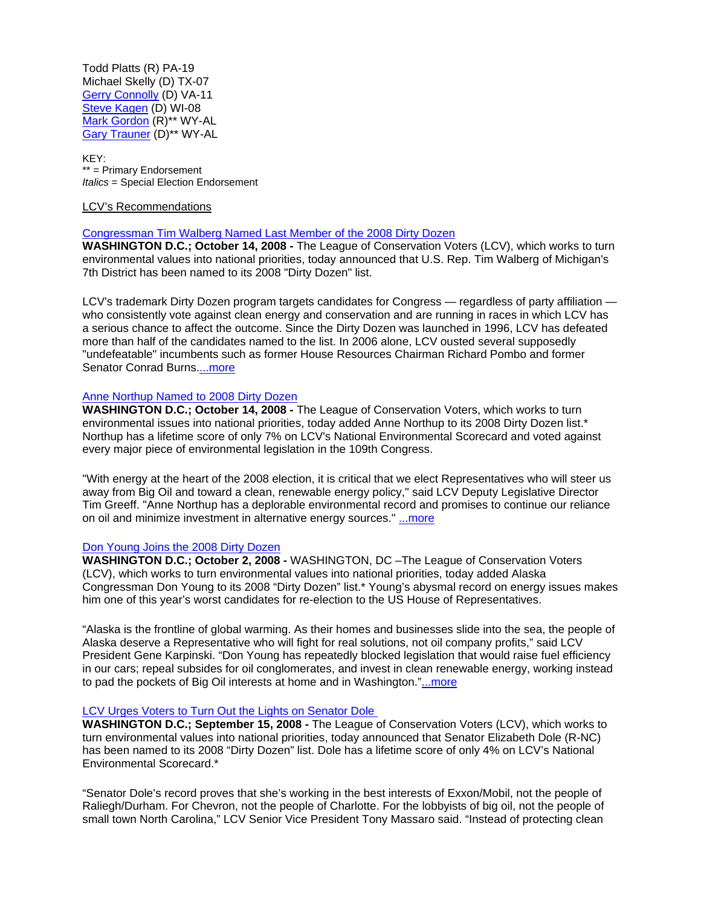Todd Platts (R) PA-19 Michael Skelly (D) TX-07 [Gerry Connolly](http://lcv.org/newsroom/press-releases/league-of-conservation-voters-endorses-gerry-connolly-for-congress.html) (D) VA-11 [Steve Kagen](http://lcv.org/newsroom/press-releases/league-of-conservation-voters-endorses-congressman-steve-kagen.html) (D) WI-08 [Mark Gordon](http://lcv.org/newsroom/press-releases/lcv-endorses-republican-mark-gordon-and-democrat-gary-trauner-in-wyoming-congressional-primaries.html) (R)\*\* WY-AL [Gary Trauner](http://lcv.org/newsroom/press-releases/lcv-endorses-republican-mark-gordon-and-democrat-gary-trauner-in-wyoming-congressional-primaries.html) (D)\*\* WY-AL

KEY: \*\* = Primary Endorsement *Italics* = Special Election Endorsement

### LCV's Recommendations

### [Congressman Tim Walberg Named Last Member of the 2008 Dirty Dozen](http://lcv.org/newsroom/press-releases/congressman-tim-walberg-named-last-member-of-the-2008-dirty-dozen.html)

WASHINGTON D.C.; October 14, 2008 - The League of Conservation Voters (LCV), which works to turn environmental values into national priorities, today announced that U.S. Rep. Tim Walberg of Michigan's 7th District has been named to its 2008 "Dirty Dozen" list.

LCV's trademark Dirty Dozen program targets candidates for Congress — regardless of party affiliation who consistently vote against clean energy and conservation and are running in races in which LCV has a serious chance to affect the outcome. Since the Dirty Dozen was launched in 1996, LCV has defeated more than half of the candidates named to the list. In 2006 alone, LCV ousted several supposedly "undefeatable" incumbents such as former House Resources Chairman Richard Pombo and former Senator Conrad Burns[....more](http://lcv.org/newsroom/press-releases/congressman-tim-walberg-named-last-member-of-the-2008-dirty-dozen.html)

## [Anne Northup Named to 2008 Dirty Dozen](http://lcv.org/newsroom/press-releases/anne-northup-named-to-2008-dirty-dozen.html)

WASHINGTON D.C.; October 14, 2008 - The League of Conservation Voters, which works to turn environmental issues into national priorities, today added Anne Northup to its 2008 Dirty Dozen list.\* Northup has a lifetime score of only 7% on LCV's National Environmental Scorecard and voted against every major piece of environmental legislation in the 109th Congress.

"With energy at the heart of the 2008 election, it is critical that we elect Representatives who will steer us away from Big Oil and toward a clean, renewable energy policy," said LCV Deputy Legislative Director Tim Greeff. "Anne Northup has a deplorable environmental record and promises to continue our reliance on oil and minimize investment in alternative energy sources." [...more](http://lcv.org/newsroom/press-releases/anne-northup-named-to-2008-dirty-dozen.html)

## [Don Young Joins the 2008 Dirty Dozen](http://lcv.org/newsroom/press-releases/don-young-joins-the-2008-dirty-dozen.html)

**WASHINGTON D.C.; October 2, 2008 -** WASHINGTON, DC –The League of Conservation Voters (LCV), which works to turn environmental values into national priorities, today added Alaska Congressman Don Young to its 2008 "Dirty Dozen" list.\* Young's abysmal record on energy issues makes him one of this year's worst candidates for re-election to the US House of Representatives.

"Alaska is the frontline of global warming. As their homes and businesses slide into the sea, the people of Alaska deserve a Representative who will fight for real solutions, not oil company profits," said LCV President Gene Karpinski. "Don Young has repeatedly blocked legislation that would raise fuel efficiency in our cars; repeal subsides for oil conglomerates, and invest in clean renewable energy, working instead to pad the pockets of Big Oil interests at home and in Washington.["...more](http://lcv.org/newsroom/press-releases/don-young-joins-the-2008-dirty-dozen.html)

### [LCV Urges Voters to Turn Out the Lights on Senator Dole](http://lcv.org/newsroom/press-releases/lcv-urges-voters-to-turn-out-the-lights-on-senator-dole.html)

**WASHINGTON D.C.; September 15, 2008 -** The League of Conservation Voters (LCV), which works to turn environmental values into national priorities, today announced that Senator Elizabeth Dole (R-NC) has been named to its 2008 "Dirty Dozen" list. Dole has a lifetime score of only 4% on LCV's National Environmental Scorecard.\*

"Senator Dole's record proves that she's working in the best interests of Exxon/Mobil, not the people of Raliegh/Durham. For Chevron, not the people of Charlotte. For the lobbyists of big oil, not the people of small town North Carolina," LCV Senior Vice President Tony Massaro said. "Instead of protecting clean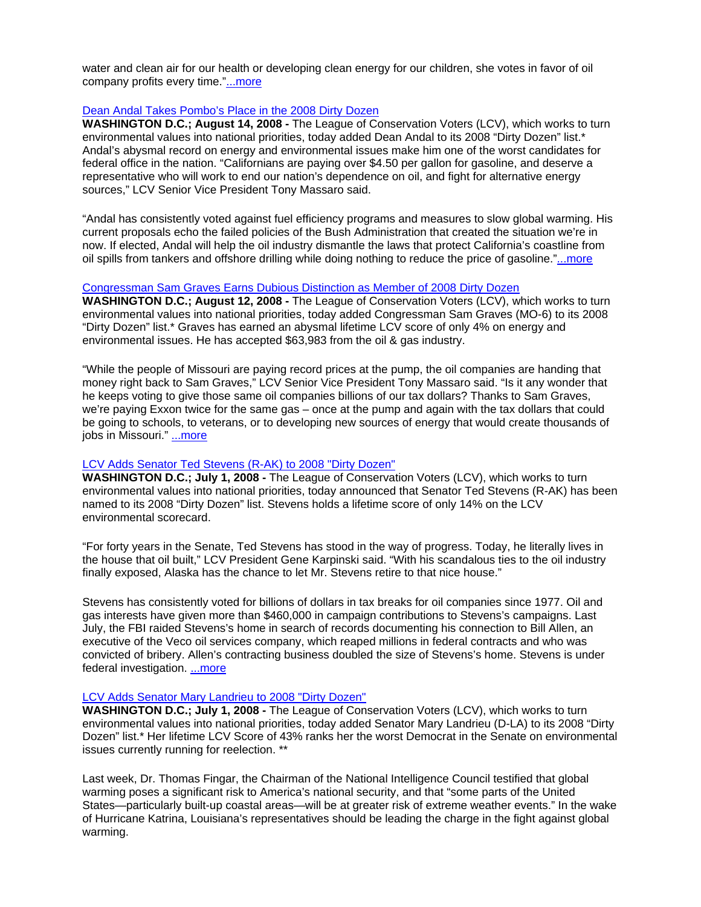water and clean air for our health or developing clean energy for our children, she votes in favor of oil company profits every time."[...more](http://lcv.org/newsroom/press-releases/lcv-urges-voters-to-turn-out-the-lights-on-senator-dole.html)

### [Dean Andal Takes Pombo's Place in the 2008 Dirty Dozen](http://lcv.org/newsroom/press-releases/dean-andal-takes-pombo-s-place-in-the-2008-dirty-dozen.html)

**WASHINGTON D.C.; August 14, 2008 -** The League of Conservation Voters (LCV), which works to turn environmental values into national priorities, today added Dean Andal to its 2008 "Dirty Dozen" list.\* Andal's abysmal record on energy and environmental issues make him one of the worst candidates for federal office in the nation. "Californians are paying over \$4.50 per gallon for gasoline, and deserve a representative who will work to end our nation's dependence on oil, and fight for alternative energy sources," LCV Senior Vice President Tony Massaro said.

"Andal has consistently voted against fuel efficiency programs and measures to slow global warming. His current proposals echo the failed policies of the Bush Administration that created the situation we're in now. If elected, Andal will help the oil industry dismantle the laws that protect California's coastline from oil spills from tankers and offshore drilling while doing nothing to reduce the price of gasoline."[...more](http://lcv.org/newsroom/press-releases/dean-andal-takes-pombo-s-place-in-the-2008-dirty-dozen.html)

#### [Congressman Sam Graves Earns Dubious Distinction as Member of 2008 Dirty Dozen](http://lcv.org/newsroom/press-releases/congressman-sam-graves-earns-dubious-distinction-as-member-of-2008-dirty-dozen.html)

**WASHINGTON D.C.; August 12, 2008 -** The League of Conservation Voters (LCV), which works to turn environmental values into national priorities, today added Congressman Sam Graves (MO-6) to its 2008 "Dirty Dozen" list.\* Graves has earned an abysmal lifetime LCV score of only 4% on energy and environmental issues. He has accepted \$63,983 from the oil & gas industry.

"While the people of Missouri are paying record prices at the pump, the oil companies are handing that money right back to Sam Graves," LCV Senior Vice President Tony Massaro said. "Is it any wonder that he keeps voting to give those same oil companies billions of our tax dollars? Thanks to Sam Graves, we're paying Exxon twice for the same gas – once at the pump and again with the tax dollars that could be going to schools, to veterans, or to developing new sources of energy that would create thousands of jobs in Missouri." [...more](http://lcv.org/newsroom/press-releases/congressman-sam-graves-earns-dubious-distinction-as-member-of-2008-dirty-dozen.html)

#### [LCV Adds Senator Ted Stevens \(R-AK\) to 2008 "Dirty Dozen"](http://lcv.org/newsroom/press-releases/lcv-names-senator-ted-stevens-to-2008-dirty-dozen.html)

**WASHINGTON D.C.; July 1, 2008 -** The League of Conservation Voters (LCV), which works to turn environmental values into national priorities, today announced that Senator Ted Stevens (R-AK) has been named to its 2008 "Dirty Dozen" list. Stevens holds a lifetime score of only 14% on the LCV environmental scorecard.

"For forty years in the Senate, Ted Stevens has stood in the way of progress. Today, he literally lives in the house that oil built," LCV President Gene Karpinski said. "With his scandalous ties to the oil industry finally exposed, Alaska has the chance to let Mr. Stevens retire to that nice house."

Stevens has consistently voted for billions of dollars in tax breaks for oil companies since 1977. Oil and gas interests have given more than \$460,000 in campaign contributions to Stevens's campaigns. Last July, the FBI raided Stevens's home in search of records documenting his connection to Bill Allen, an executive of the Veco oil services company, which reaped millions in federal contracts and who was convicted of bribery. Allen's contracting business doubled the size of Stevens's home. Stevens is under federal investigation. [...more](http://lcv.org/newsroom/press-releases/lcv-names-senator-ted-stevens-to-2008-dirty-dozen.html)

#### [LCV Adds Senator Mary Landrieu to 2008 "Dirty Dozen"](http://lcv.org/newsroom/press-releases/senator-mary-landrieu-added-to-lcv-s-dirty-dozen.html)

**WASHINGTON D.C.; July 1, 2008 -** The League of Conservation Voters (LCV), which works to turn environmental values into national priorities, today added Senator Mary Landrieu (D-LA) to its 2008 "Dirty Dozen" list.\* Her lifetime LCV Score of 43% ranks her the worst Democrat in the Senate on environmental issues currently running for reelection. \*\*

Last week, Dr. Thomas Fingar, the Chairman of the National Intelligence Council testified that global warming poses a significant risk to America's national security, and that "some parts of the United States—particularly built-up coastal areas—will be at greater risk of extreme weather events." In the wake of Hurricane Katrina, Louisiana's representatives should be leading the charge in the fight against global warming.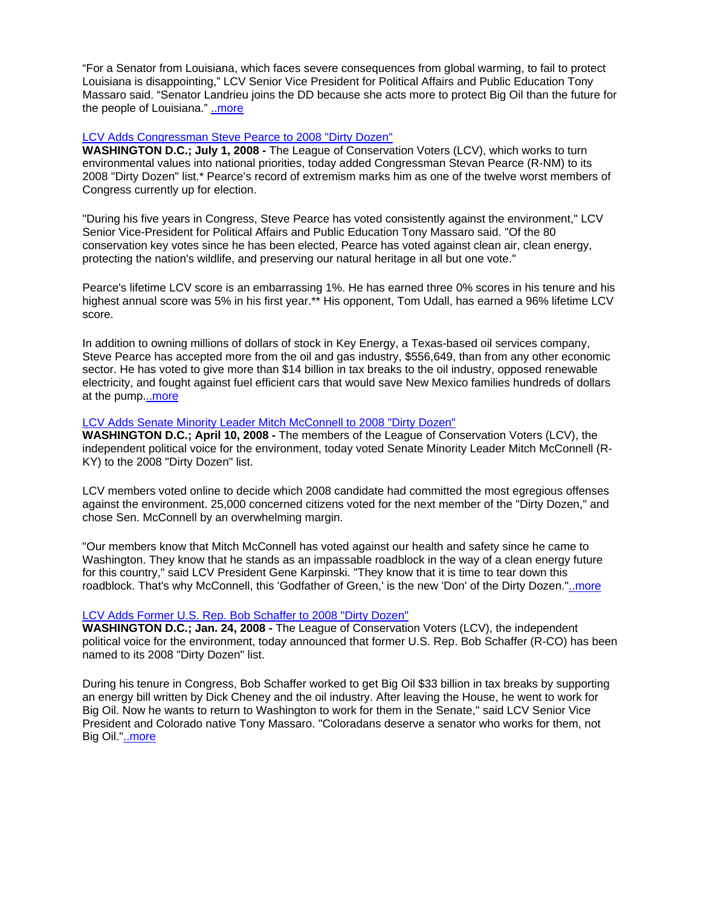"For a Senator from Louisiana, which faces severe consequences from global warming, to fail to protect Louisiana is disappointing," LCV Senior Vice President for Political Affairs and Public Education Tony Massaro said. "Senator Landrieu joins the DD because she acts more to protect Big Oil than the future for the people of Louisiana." [..more](http://lcv.org/newsroom/press-releases/senator-mary-landrieu-added-to-lcv-s-dirty-dozen.html)

### [LCV Adds Congressman Steve Pearce to 2008 "Dirty Dozen"](http://lcv.org/newsroom/press-releases/lcv-adds-congressman-steve-pearce-to-the-2008-dirty-dozen.html)

**WASHINGTON D.C.; July 1, 2008 -** The League of Conservation Voters (LCV), which works to turn environmental values into national priorities, today added Congressman Stevan Pearce (R-NM) to its 2008 "Dirty Dozen" list.\* Pearce's record of extremism marks him as one of the twelve worst members of Congress currently up for election.

"During his five years in Congress, Steve Pearce has voted consistently against the environment," LCV Senior Vice-President for Political Affairs and Public Education Tony Massaro said. "Of the 80 conservation key votes since he has been elected, Pearce has voted against clean air, clean energy, protecting the nation's wildlife, and preserving our natural heritage in all but one vote."

Pearce's lifetime LCV score is an embarrassing 1%. He has earned three 0% scores in his tenure and his highest annual score was 5% in his first year.\*\* His opponent, Tom Udall, has earned a 96% lifetime LCV score.

In addition to owning millions of dollars of stock in Key Energy, a Texas-based oil services company, Steve Pearce has accepted more from the oil and gas industry, \$556,649, than from any other economic sector. He has voted to give more than \$14 billion in tax breaks to the oil industry, opposed renewable electricity, and fought against fuel efficient cars that would save New Mexico families hundreds of dollars at the pump.[..more](http://lcv.org/newsroom/press-releases/lcv-adds-congressman-steve-pearce-to-the-2008-dirty-dozen.html)

### [LCV Adds Senate Minority Leader Mitch McConnell to 2008 "Dirty Dozen"](http://lcv.org/newsroom/press-releases/lcv-members-elect-senate-minority-leader-mitch-mcconnell-the-new-don-of-the-dirty-dozen.html)

**WASHINGTON D.C.; April 10, 2008 -** The members of the League of Conservation Voters (LCV), the independent political voice for the environment, today voted Senate Minority Leader Mitch McConnell (R-KY) to the 2008 "Dirty Dozen" list.

LCV members voted online to decide which 2008 candidate had committed the most egregious offenses against the environment. 25,000 concerned citizens voted for the next member of the "Dirty Dozen," and chose Sen. McConnell by an overwhelming margin.

"Our members know that Mitch McConnell has voted against our health and safety since he came to Washington. They know that he stands as an impassable roadblock in the way of a clean energy future for this country," said LCV President Gene Karpinski. "They know that it is time to tear down this roadblock. That's why McConnell, this 'Godfather of Green,' is the new 'Don' of the Dirty Dozen."[..more](http://lcv.org/newsroom/press-releases/lcv-members-elect-senate-minority-leader-mitch-mcconnell-the-new-don-of-the-dirty-dozen.html)

## [LCV Adds Former U.S. Rep. Bob Schaffer to 2008 "Dirty Dozen"](http://lcv.org/newsroom/press-releases/lcv-names-former-u-s-rep-bob-schaffer-to-2008-dirty-dozen.html)

**WASHINGTON D.C.; Jan. 24, 2008 -** The League of Conservation Voters (LCV), the independent political voice for the environment, today announced that former U.S. Rep. Bob Schaffer (R-CO) has been named to its 2008 "Dirty Dozen" list.

During his tenure in Congress, Bob Schaffer worked to get Big Oil \$33 billion in tax breaks by supporting an energy bill written by Dick Cheney and the oil industry. After leaving the House, he went to work for Big Oil. Now he wants to return to Washington to work for them in the Senate," said LCV Senior Vice President and Colorado native Tony Massaro. "Coloradans deserve a senator who works for them, not Big Oil."[..more](http://lcv.org/newsroom/press-releases/lcv-names-senator-inhofe-and-rep-knollenberg-to-2008-dirty-dozen.html)